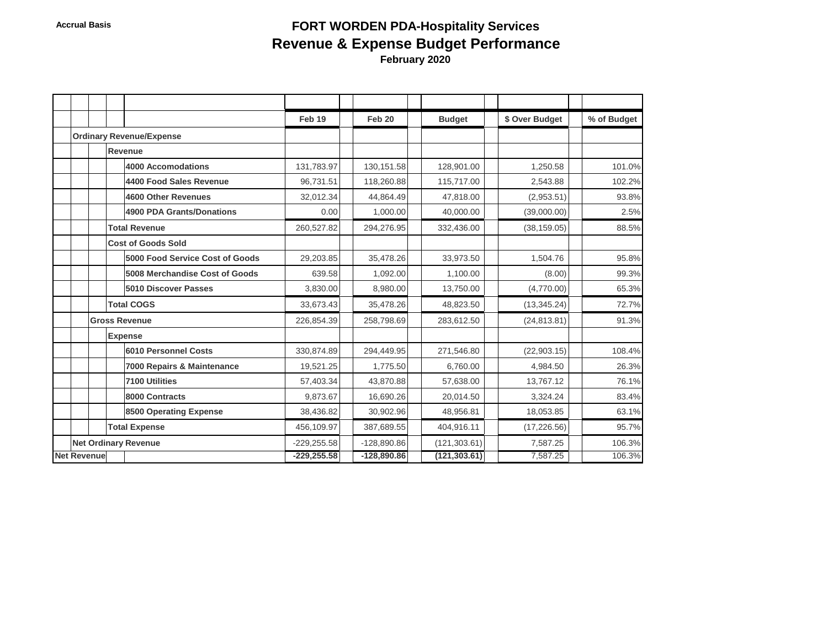# Accrual Basis **Accrual Basis FORT WORDEN PDA-Hospitality Services Revenue & Expense Budget Performance February 2020**

|                                 |                      |  |  |                                  | Feb 19        | Feb 20        | <b>Budget</b> | \$ Over Budget | % of Budget |
|---------------------------------|----------------------|--|--|----------------------------------|---------------|---------------|---------------|----------------|-------------|
| <b>Ordinary Revenue/Expense</b> |                      |  |  |                                  |               |               |               |                |             |
|                                 |                      |  |  | Revenue                          |               |               |               |                |             |
|                                 |                      |  |  | <b>4000 Accomodations</b>        | 131,783.97    | 130, 151.58   | 128,901.00    | 1,250.58       | 101.0%      |
|                                 |                      |  |  | 4400 Food Sales Revenue          | 96,731.51     | 118,260.88    | 115,717.00    | 2.543.88       | 102.2%      |
|                                 |                      |  |  | <b>4600 Other Revenues</b>       | 32.012.34     | 44.864.49     | 47.818.00     | (2,953.51)     | 93.8%       |
|                                 |                      |  |  | <b>4900 PDA Grants/Donations</b> | 0.00          | 1,000.00      | 40,000.00     | (39,000.00)    | 2.5%        |
|                                 |                      |  |  | <b>Total Revenue</b>             | 260,527.82    | 294,276.95    | 332,436.00    | (38, 159.05)   | 88.5%       |
|                                 |                      |  |  | <b>Cost of Goods Sold</b>        |               |               |               |                |             |
|                                 |                      |  |  | 5000 Food Service Cost of Goods  | 29,203.85     | 35,478.26     | 33,973.50     | 1,504.76       | 95.8%       |
|                                 |                      |  |  | 5008 Merchandise Cost of Goods   | 639.58        | 1,092.00      | 1,100.00      | (8.00)         | 99.3%       |
|                                 |                      |  |  | 5010 Discover Passes             | 3,830.00      | 8,980.00      | 13,750.00     | (4,770.00)     | 65.3%       |
|                                 |                      |  |  | <b>Total COGS</b>                | 33,673.43     | 35,478.26     | 48,823.50     | (13, 345.24)   | 72.7%       |
|                                 | <b>Gross Revenue</b> |  |  |                                  | 226,854.39    | 258,798.69    | 283,612.50    | (24, 813.81)   | 91.3%       |
|                                 |                      |  |  | <b>Expense</b>                   |               |               |               |                |             |
|                                 |                      |  |  | <b>6010 Personnel Costs</b>      | 330,874.89    | 294,449.95    | 271,546.80    | (22,903.15)    | 108.4%      |
|                                 |                      |  |  | 7000 Repairs & Maintenance       | 19,521.25     | 1,775.50      | 6,760.00      | 4.984.50       | 26.3%       |
|                                 |                      |  |  | 7100 Utilities                   | 57,403.34     | 43,870.88     | 57,638.00     | 13,767.12      | 76.1%       |
|                                 |                      |  |  | 8000 Contracts                   | 9,873.67      | 16,690.26     | 20,014.50     | 3,324.24       | 83.4%       |
|                                 |                      |  |  | 8500 Operating Expense           | 38,436.82     | 30,902.96     | 48,956.81     | 18,053.85      | 63.1%       |
|                                 |                      |  |  | <b>Total Expense</b>             | 456,109.97    | 387,689.55    | 404,916.11    | (17, 226.56)   | 95.7%       |
|                                 |                      |  |  | <b>Net Ordinary Revenue</b>      | $-229,255.58$ | $-128,890.86$ | (121, 303.61) | 7,587.25       | 106.3%      |
|                                 | <b>Net Revenue</b>   |  |  |                                  | $-229,255.58$ | $-128,890.86$ | (121, 303.61) | 7,587.25       | 106.3%      |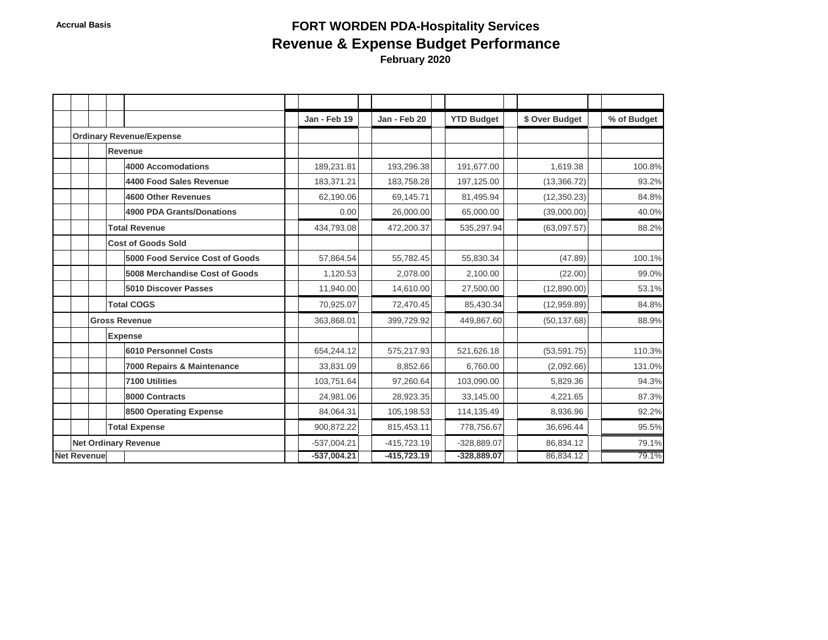# Accrual Basis **Accrual Basis FORT WORDEN PDA-Hospitality Services Revenue & Expense Budget Performance February 2020**

|                    |                      |  |                                 |  | Jan - Feb 19  | Jan - Feb 20  | <b>YTD Budget</b> | \$ Over Budget | % of Budget |
|--------------------|----------------------|--|---------------------------------|--|---------------|---------------|-------------------|----------------|-------------|
|                    |                      |  | <b>Ordinary Revenue/Expense</b> |  |               |               |                   |                |             |
|                    |                      |  | Revenue                         |  |               |               |                   |                |             |
|                    |                      |  | 4000 Accomodations              |  | 189,231.81    | 193,296.38    | 191,677.00        | 1,619.38       | 100.8%      |
|                    |                      |  | 4400 Food Sales Revenue         |  | 183,371.21    | 183,758.28    | 197,125.00        | (13, 366.72)   | 93.2%       |
|                    |                      |  | 4600 Other Revenues             |  | 62,190.06     | 69,145.71     | 81,495.94         | (12, 350.23)   | 84.8%       |
|                    |                      |  | 4900 PDA Grants/Donations       |  | 0.00          | 26,000.00     | 65,000.00         | (39,000.00)    | 40.0%       |
|                    |                      |  | <b>Total Revenue</b>            |  | 434,793.08    | 472,200.37    | 535,297.94        | (63,097.57)    | 88.2%       |
|                    |                      |  | <b>Cost of Goods Sold</b>       |  |               |               |                   |                |             |
|                    |                      |  | 5000 Food Service Cost of Goods |  | 57,864.54     | 55,782.45     | 55,830.34         | (47.89)        | 100.1%      |
|                    |                      |  | 5008 Merchandise Cost of Goods  |  | 1,120.53      | 2,078.00      | 2,100.00          | (22.00)        | 99.0%       |
|                    |                      |  | <b>5010 Discover Passes</b>     |  | 11,940.00     | 14,610.00     | 27,500.00         | (12,890.00)    | 53.1%       |
|                    |                      |  | <b>Total COGS</b>               |  | 70,925.07     | 72,470.45     | 85,430.34         | (12,959.89)    | 84.8%       |
|                    |                      |  | <b>Gross Revenue</b>            |  | 363,868.01    | 399,729.92    | 449,867.60        | (50, 137.68)   | 88.9%       |
|                    |                      |  | <b>Expense</b>                  |  |               |               |                   |                |             |
|                    |                      |  | 6010 Personnel Costs            |  | 654,244.12    | 575,217.93    | 521,626.18        | (53, 591.75)   | 110.3%      |
|                    |                      |  | 7000 Repairs & Maintenance      |  | 33,831.09     | 8,852.66      | 6,760.00          | (2,092.66)     | 131.0%      |
|                    |                      |  | 7100 Utilities                  |  | 103,751.64    | 97,260.64     | 103,090.00        | 5,829.36       | 94.3%       |
|                    |                      |  | 8000 Contracts                  |  | 24,981.06     | 28,923.35     | 33,145.00         | 4,221.65       | 87.3%       |
|                    |                      |  | 8500 Operating Expense          |  | 84,064.31     | 105,198.53    | 114,135.49        | 8,936.96       | 92.2%       |
|                    | <b>Total Expense</b> |  |                                 |  | 900.872.22    | 815,453.11    | 778,756.67        | 36.696.44      | 95.5%       |
|                    |                      |  | <b>Net Ordinary Revenue</b>     |  | $-537,004.21$ | $-415,723.19$ | -328,889.07       | 86,834.12      | 79.1%       |
| <b>Net Revenue</b> |                      |  |                                 |  | $-537,004.21$ | $-415,723.19$ | $-328,889.07$     | 86,834.12      | 79.1%       |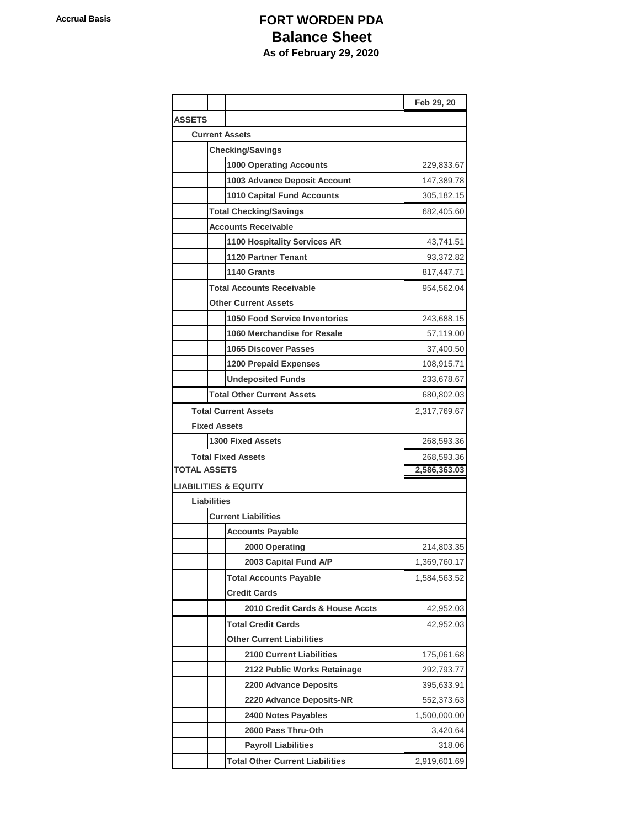## **Accrual Basis Contracts FORT WORDEN PDA Balance Sheet As of February 29, 2020**

|                     |                               |                            |                                   | Feb 29, 20   |
|---------------------|-------------------------------|----------------------------|-----------------------------------|--------------|
| <b>ASSETS</b>       |                               |                            |                                   |              |
|                     | <b>Current Assets</b>         |                            |                                   |              |
|                     | <b>Checking/Savings</b>       |                            |                                   |              |
|                     |                               | 229,833.67                 |                                   |              |
|                     |                               |                            | 1003 Advance Deposit Account      | 147,389.78   |
|                     |                               | 305,182.15                 |                                   |              |
|                     | <b>Total Checking/Savings</b> | 682,405.60                 |                                   |              |
|                     |                               | <b>Accounts Receivable</b> |                                   |              |
|                     |                               |                            | 1100 Hospitality Services AR      | 43,741.51    |
|                     |                               | <b>1120 Partner Tenant</b> | 93,372.82                         |              |
|                     |                               |                            | 1140 Grants                       | 817,447.71   |
|                     |                               |                            | <b>Total Accounts Receivable</b>  | 954,562.04   |
|                     |                               |                            | <b>Other Current Assets</b>       |              |
|                     |                               |                            | 1050 Food Service Inventories     | 243,688.15   |
|                     |                               |                            | 1060 Merchandise for Resale       | 57,119.00    |
|                     |                               |                            | <b>1065 Discover Passes</b>       | 37,400.50    |
|                     |                               |                            | <b>1200 Prepaid Expenses</b>      | 108,915.71   |
|                     |                               |                            | <b>Undeposited Funds</b>          | 233,678.67   |
|                     |                               |                            | <b>Total Other Current Assets</b> | 680,802.03   |
|                     |                               |                            | <b>Total Current Assets</b>       | 2,317,769.67 |
|                     | <b>Fixed Assets</b>           |                            |                                   |              |
|                     | <b>1300 Fixed Assets</b>      | 268,593.36                 |                                   |              |
|                     | <b>Total Fixed Assets</b>     | 268,593.36                 |                                   |              |
| <b>TOTAL ASSETS</b> |                               |                            |                                   | 2,586,363.03 |
|                     |                               |                            | <b>LIABILITIES &amp; EQUITY</b>   |              |
|                     | <b>Liabilities</b>            |                            |                                   |              |
|                     |                               |                            | <b>Current Liabilities</b>        |              |
|                     |                               |                            | <b>Accounts Payable</b>           |              |
|                     |                               |                            | 2000 Operating                    | 214,803.35   |
|                     |                               |                            | 2003 Capital Fund A/P             | 1,369,760.17 |
|                     |                               |                            | <b>Total Accounts Payable</b>     | 1,584,563.52 |
|                     |                               |                            | <b>Credit Cards</b>               |              |
|                     |                               |                            | 2010 Credit Cards & House Accts   | 42,952.03    |
|                     |                               |                            | <b>Total Credit Cards</b>         | 42,952.03    |
|                     |                               |                            |                                   |              |
|                     |                               |                            | <b>2100 Current Liabilities</b>   | 175,061.68   |
|                     |                               |                            | 2122 Public Works Retainage       | 292,793.77   |
|                     |                               |                            | <b>2200 Advance Deposits</b>      | 395,633.91   |
|                     |                               |                            | 2220 Advance Deposits-NR          | 552,373.63   |
|                     |                               |                            | 2400 Notes Payables               | 1,500,000.00 |
|                     |                               |                            | 2600 Pass Thru-Oth                | 3,420.64     |
|                     |                               |                            | <b>Payroll Liabilities</b>        | 318.06       |
|                     |                               | 2,919,601.69               |                                   |              |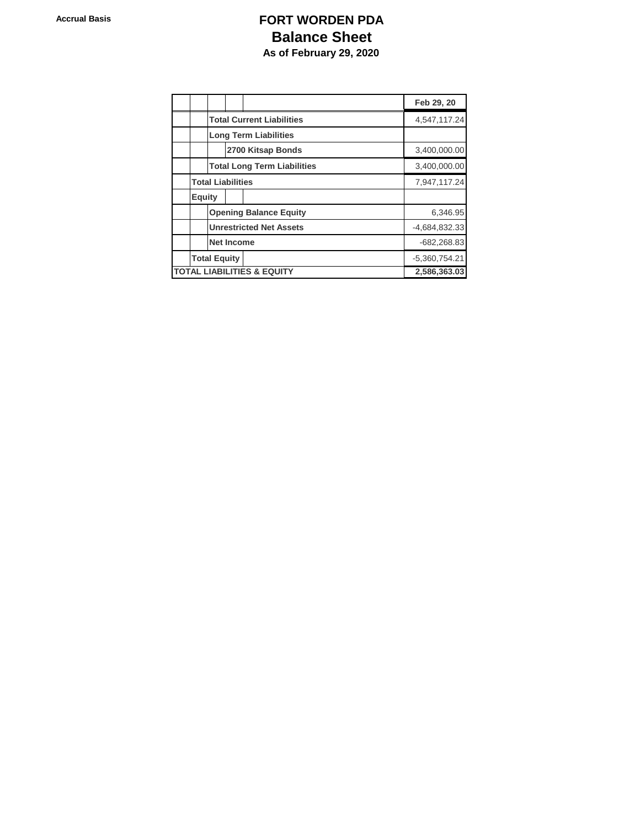## **Accrual Basis Contracts FORT WORDEN PDA Balance Sheet As of February 29, 2020**

|                                       |                                    |                               |                   | Feb 29, 20   |  |  |
|---------------------------------------|------------------------------------|-------------------------------|-------------------|--------------|--|--|
|                                       | <b>Total Current Liabilities</b>   |                               | 4,547,117.24      |              |  |  |
|                                       | <b>Long Term Liabilities</b>       |                               |                   |              |  |  |
|                                       |                                    |                               | 2700 Kitsap Bonds | 3,400,000.00 |  |  |
|                                       | <b>Total Long Term Liabilities</b> | 3,400,000.00                  |                   |              |  |  |
| <b>Total Liabilities</b>              |                                    | 7,947,117.24                  |                   |              |  |  |
| <b>Equity</b>                         |                                    |                               |                   |              |  |  |
|                                       |                                    | <b>Opening Balance Equity</b> | 6,346.95          |              |  |  |
|                                       | <b>Unrestricted Net Assets</b>     | -4,684,832.33                 |                   |              |  |  |
|                                       | <b>Net Income</b>                  | $-682,268.83$                 |                   |              |  |  |
| <b>Total Equity</b>                   | $-5,360,754.21$                    |                               |                   |              |  |  |
| <b>TOTAL LIABILITIES &amp; EQUITY</b> | 2,586,363.03                       |                               |                   |              |  |  |